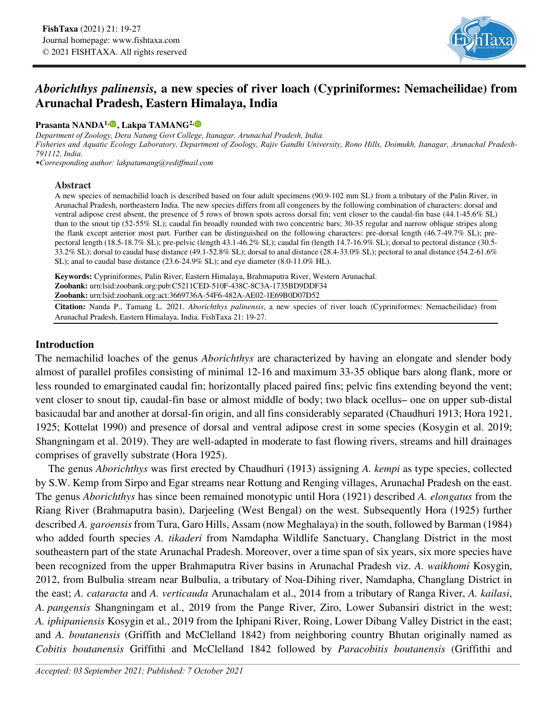

# *Aborichthys palinensis,* **a new species of river loach (Cypriniformes: Nemacheilidae) from Arunachal Pradesh, Eastern Himalaya, India**

### **Prasanta NANDA<sup>1[,](https://orcid.org/0000-0002-3178-1001)</sup><sup>0</sup>, Lakpa TAMANG<sup>2,</sup><sup>0</sup>**

*Department of Zoology, Dera Natung Govt College, Itanagar, Arunachal Pradesh, India. Fisheries and Aquatic Ecology Laboratory, Department of Zoology, Rajiv Gandhi University, Rono Hills, Doimukh, Itanagar, Arunachal Pradesh-791112, India.* 

*⁕Corresponding author: lakpatamang@rediffmail.com*

#### **Abstract**

A new species of nemachilid loach is described based on four adult specimens (90.9-102 mm SL) from a tributary of the Palin River, in Arunachal Pradesh, northeastern India. The new species differs from all congeners by the following combination of characters: dorsal and ventral adipose crest absent, the presence of 5 rows of brown spots across dorsal fin; vent closer to the caudal-fin base (44.1-45.6% SL) than to the snout tip (52-55% SL); caudal fin broadly rounded with two concentric bars; 30-35 regular and narrow oblique stripes along the flank except anterior most part. Further can be distinguished on the following characters: pre-dorsal length (46.7-49.7% SL); prepectoral length (18.5-18.7% SL); pre-pelvic (length 43.1-46.2% SL); caudal fin (length 14.7-16.9% SL); dorsal to pectoral distance (30.5- 33.2% SL); dorsal to caudal base distance (49.1-52.8% SL); dorsal to anal distance (28.4-33.0% SL); pectoral to anal distance (54.2-61.6% SL); anal to caudal base distance (23.6-24.9% SL); and eye diameter (8.0-11.0% HL).

**Keywords:** Cypriniformes, Palin River, Eastern Himalaya, Brahmaputra River, Western Arunachal. **Zoobank:** urn:lsid:zoobank.org:pub:C5211CED-510F-438C-8C3A-1735BD9DDF34 **Zoobank:** urn:lsid:zoobank.org:act:3669736A-54F6-482A-AE02-1E69B0D07D52

**Citation:** Nanda P., Tamang L. 2021. *Aborichthys palinensis*, a new species of river loach (Cypriniformes: Nemacheilidae) from Arunachal Pradesh, Eastern Himalaya, India. FishTaxa 21: 19-27.

# **Introduction**

The nemachilid loaches of the genus *Aborichthys* are characterized by having an elongate and slender body almost of parallel profiles consisting of minimal 12-16 and maximum 33-35 oblique bars along flank, more or less rounded to emarginated caudal fin; horizontally placed paired fins; pelvic fins extending beyond the vent; vent closer to snout tip, caudal-fin base or almost middle of body; two black ocellus– one on upper sub-distal basicaudal bar and another at dorsal-fin origin, and all fins considerably separated (Chaudhuri 1913; Hora 1921, 1925; Kottelat 1990) and presence of dorsal and ventral adipose crest in some species (Kosygin et al. 2019; Shangningam et al. 2019). They are well-adapted in moderate to fast flowing rivers, streams and hill drainages comprises of gravelly substrate (Hora 1925).

The genus *Aborichthys* was first erected by Chaudhuri (1913) assigning *A. kempi* as type species, collected by S.W. Kemp from Sirpo and Egar streams near Rottung and Renging villages, Arunachal Pradesh on the east. The genus *Aborichthys* has since been remained monotypic until Hora (1921) described *A. elongatus* from the Riang River (Brahmaputra basin), Darjeeling (West Bengal) on the west. Subsequently Hora (1925) further described *A. garoensis* from Tura, Garo Hills, Assam (now Meghalaya) in the south, followed by Barman (1984) who added fourth species *A. tikaderi* from Namdapha Wildlife Sanctuary, Changlang District in the most southeastern part of the state Arunachal Pradesh. Moreover, over a time span of six years, six more species have been recognized from the upper Brahmaputra River basins in Arunachal Pradesh viz. *A. waikhomi* Kosygin, 2012, from Bulbulia stream near Bulbulia, a tributary of Noa-Dihing river, Namdapha, Changlang District in the east; *A. cataracta* and *A. verticauda* Arunachalam et al., 2014 from a tributary of Ranga River, *A. kailasi*, *A. pangensis* Shangningam et al., 2019 from the Pange River, Ziro, Lower Subansiri district in the west; *A. iphipaniensis* Kosygin et al., 2019 from the Iphipani River, Roing, Lower Dibang Valley District in the east; and *A. boutanensis* (Griffith and McClelland 1842) from neighboring country Bhutan originally named as *Cobitis boutanensis* Griffithi and McClelland 1842 followed by *Paracobitis boutanensis* (Griffithi and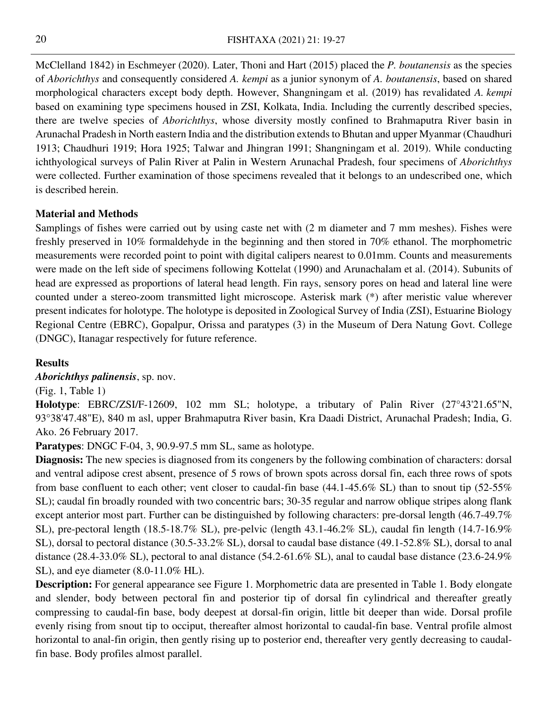McClelland 1842) in Eschmeyer (2020). Later, Thoni and Hart (2015) placed the *P. boutanensis* as the species of *Aborichthys* and consequently considered *A. kempi* as a junior synonym of *A. boutanensis*, based on shared morphological characters except body depth. However, Shangningam et al. (2019) has revalidated *A. kempi* based on examining type specimens housed in ZSI, Kolkata, India. Including the currently described species, there are twelve species of *Aborichthys*, whose diversity mostly confined to Brahmaputra River basin in Arunachal Pradesh in North eastern India and the distribution extends to Bhutan and upper Myanmar (Chaudhuri 1913; Chaudhuri 1919; Hora 1925; Talwar and Jhingran 1991; Shangningam et al. 2019). While conducting ichthyological surveys of Palin River at Palin in Western Arunachal Pradesh, four specimens of *Aborichthys* were collected. Further examination of those specimens revealed that it belongs to an undescribed one, which is described herein.

# **Material and Methods**

Samplings of fishes were carried out by using caste net with (2 m diameter and 7 mm meshes). Fishes were freshly preserved in 10% formaldehyde in the beginning and then stored in 70% ethanol. The morphometric measurements were recorded point to point with digital calipers nearest to 0.01mm. Counts and measurements were made on the left side of specimens following Kottelat (1990) and Arunachalam et al. (2014). Subunits of head are expressed as proportions of lateral head length. Fin rays, sensory pores on head and lateral line were counted under a stereo-zoom transmitted light microscope. Asterisk mark (\*) after meristic value wherever present indicates for holotype. The holotype is deposited in Zoological Survey of India (ZSI), Estuarine Biology Regional Centre (EBRC), Gopalpur, Orissa and paratypes (3) in the Museum of Dera Natung Govt. College (DNGC), Itanagar respectively for future reference.

### **Results**

*Aborichthys palinensis*, sp. nov.

(Fig. 1, Table 1)

**Holotype**: EBRC/ZSI/F-12609, 102 mm SL; holotype, a tributary of Palin River (27°43'21.65"N, 93°38'47.48"E), 840 m asl, upper Brahmaputra River basin, Kra Daadi District, Arunachal Pradesh; India, G. Ako. 26 February 2017.

**Paratypes**: DNGC F-04, 3, 90.9-97.5 mm SL, same as holotype.

**Diagnosis:** The new species is diagnosed from its congeners by the following combination of characters: dorsal and ventral adipose crest absent, presence of 5 rows of brown spots across dorsal fin, each three rows of spots from base confluent to each other; vent closer to caudal-fin base (44.1-45.6% SL) than to snout tip (52-55% SL); caudal fin broadly rounded with two concentric bars; 30-35 regular and narrow oblique stripes along flank except anterior most part. Further can be distinguished by following characters: pre-dorsal length (46.7-49.7% SL), pre-pectoral length (18.5-18.7% SL), pre-pelvic (length 43.1-46.2% SL), caudal fin length (14.7-16.9% SL), dorsal to pectoral distance (30.5-33.2% SL), dorsal to caudal base distance (49.1-52.8% SL), dorsal to anal distance (28.4-33.0% SL), pectoral to anal distance (54.2-61.6% SL), anal to caudal base distance (23.6-24.9% SL), and eye diameter (8.0-11.0% HL).

**Description:** For general appearance see Figure 1. Morphometric data are presented in Table 1. Body elongate and slender, body between pectoral fin and posterior tip of dorsal fin cylindrical and thereafter greatly compressing to caudal-fin base, body deepest at dorsal-fin origin, little bit deeper than wide. Dorsal profile evenly rising from snout tip to occiput, thereafter almost horizontal to caudal-fin base. Ventral profile almost horizontal to anal-fin origin, then gently rising up to posterior end, thereafter very gently decreasing to caudalfin base. Body profiles almost parallel.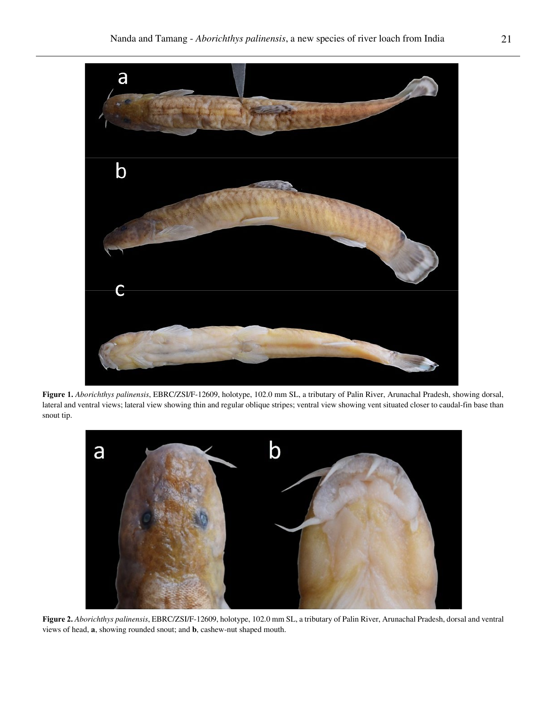

**Figure 1.** *Aborichthys palinensis*, EBRC/ZSI/F-12609, holotype, 102.0 mm SL, a tributary of Palin River, Arunachal Pradesh, showing dorsal, lateral and ventral views; lateral view showing thin and regular oblique stripes; ventral view showing vent situated closer to caudal-fin base than snout tip.



**Figure 2.** *Aborichthys palinensis*, EBRC/ZSI/F-12609, holotype, 102.0 mm SL, a tributary of Palin River, Arunachal Pradesh, dorsal and ventral views of head, **a**, showing rounded snout; and **b**, cashew-nut shaped mouth.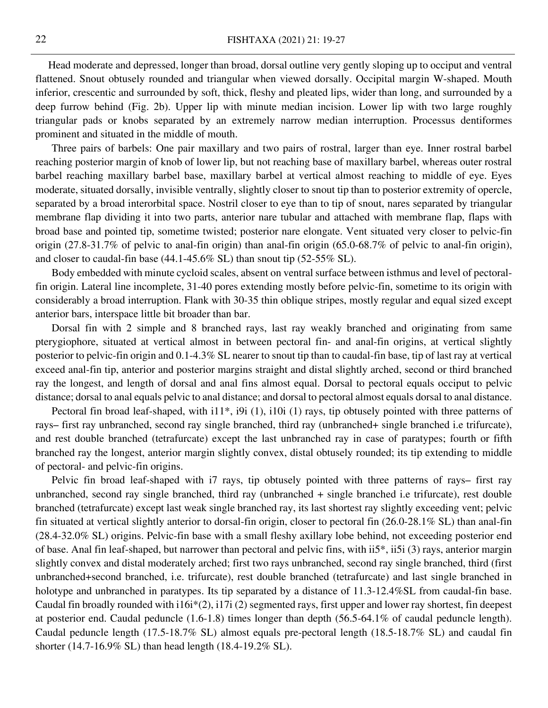Head moderate and depressed, longer than broad, dorsal outline very gently sloping up to occiput and ventral flattened. Snout obtusely rounded and triangular when viewed dorsally. Occipital margin W-shaped. Mouth inferior, crescentic and surrounded by soft, thick, fleshy and pleated lips, wider than long, and surrounded by a deep furrow behind (Fig. 2b). Upper lip with minute median incision. Lower lip with two large roughly triangular pads or knobs separated by an extremely narrow median interruption. Processus dentiformes prominent and situated in the middle of mouth.

Three pairs of barbels: One pair maxillary and two pairs of rostral, larger than eye. Inner rostral barbel reaching posterior margin of knob of lower lip, but not reaching base of maxillary barbel, whereas outer rostral barbel reaching maxillary barbel base, maxillary barbel at vertical almost reaching to middle of eye. Eyes moderate, situated dorsally, invisible ventrally, slightly closer to snout tip than to posterior extremity of opercle, separated by a broad interorbital space. Nostril closer to eye than to tip of snout, nares separated by triangular membrane flap dividing it into two parts, anterior nare tubular and attached with membrane flap, flaps with broad base and pointed tip, sometime twisted; posterior nare elongate. Vent situated very closer to pelvic-fin origin (27.8-31.7% of pelvic to anal-fin origin) than anal-fin origin (65.0-68.7% of pelvic to anal-fin origin), and closer to caudal-fin base (44.1-45.6% SL) than snout tip (52-55% SL).

Body embedded with minute cycloid scales, absent on ventral surface between isthmus and level of pectoralfin origin. Lateral line incomplete, 31-40 pores extending mostly before pelvic-fin, sometime to its origin with considerably a broad interruption. Flank with 30-35 thin oblique stripes, mostly regular and equal sized except anterior bars, interspace little bit broader than bar.

Dorsal fin with 2 simple and 8 branched rays, last ray weakly branched and originating from same pterygiophore, situated at vertical almost in between pectoral fin- and anal-fin origins, at vertical slightly posterior to pelvic-fin origin and 0.1-4.3% SL nearer to snout tip than to caudal-fin base, tip of last ray at vertical exceed anal-fin tip, anterior and posterior margins straight and distal slightly arched, second or third branched ray the longest, and length of dorsal and anal fins almost equal. Dorsal to pectoral equals occiput to pelvic distance; dorsal to anal equals pelvic to anal distance; and dorsal to pectoral almost equals dorsal to anal distance.

Pectoral fin broad leaf-shaped, with i11\*, i9i (1), i10i (1) rays, tip obtusely pointed with three patterns of rays– first ray unbranched, second ray single branched, third ray (unbranched+ single branched i.e trifurcate), and rest double branched (tetrafurcate) except the last unbranched ray in case of paratypes; fourth or fifth branched ray the longest, anterior margin slightly convex, distal obtusely rounded; its tip extending to middle of pectoral- and pelvic-fin origins.

Pelvic fin broad leaf-shaped with i7 rays, tip obtusely pointed with three patterns of rays– first ray unbranched, second ray single branched, third ray (unbranched + single branched i.e trifurcate), rest double branched (tetrafurcate) except last weak single branched ray, its last shortest ray slightly exceeding vent; pelvic fin situated at vertical slightly anterior to dorsal-fin origin, closer to pectoral fin (26.0-28.1% SL) than anal-fin (28.4-32.0% SL) origins. Pelvic-fin base with a small fleshy axillary lobe behind, not exceeding posterior end of base. Anal fin leaf-shaped, but narrower than pectoral and pelvic fins, with ii5\*, ii5i (3) rays, anterior margin slightly convex and distal moderately arched; first two rays unbranched, second ray single branched, third (first unbranched+second branched, i.e. trifurcate), rest double branched (tetrafurcate) and last single branched in holotype and unbranched in paratypes. Its tip separated by a distance of 11.3-12.4%SL from caudal-fin base. Caudal fin broadly rounded with i16i\*(2), i17i (2) segmented rays, first upper and lower ray shortest, fin deepest at posterior end. Caudal peduncle (1.6-1.8) times longer than depth (56.5-64.1% of caudal peduncle length). Caudal peduncle length (17.5-18.7% SL) almost equals pre-pectoral length (18.5-18.7% SL) and caudal fin shorter (14.7-16.9% SL) than head length (18.4-19.2% SL).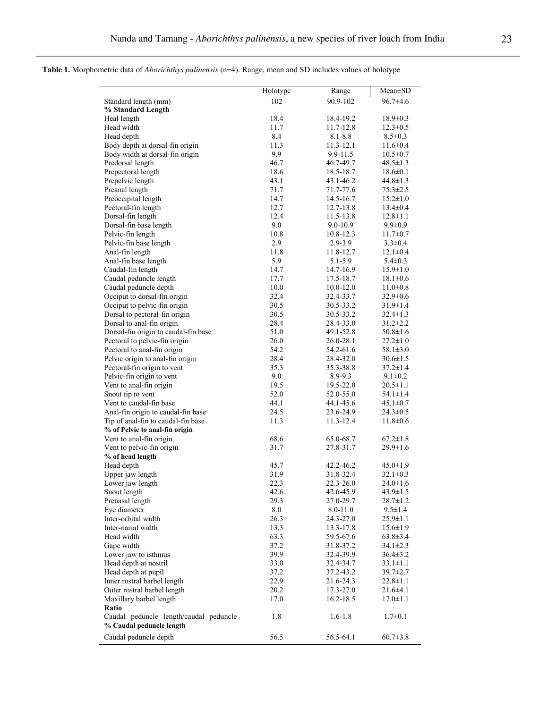**Table 1.** Morphometric data of *Aborichthys palinensis* (n=4). Range, mean and SD includes values of holotype

|                                          | Holotype     | Range                  | $Mean \pm SD$                    |
|------------------------------------------|--------------|------------------------|----------------------------------|
| Standard length (mm)                     | 102          | 90.9-102               | $96.7 \pm 4.6$                   |
| % Standard Length                        |              |                        |                                  |
| Heal length                              | 18.4         | 18.4-19.2              | $18.9 \pm 0.3$                   |
| Head width                               | 11.7         | 11.7-12.8              | $12.3 \pm 0.5$                   |
| Head depth                               | 8.4          | $8.1 - 8.8$            | $8.5 \pm 0.3$                    |
| Body depth at dorsal-fin origin          | 11.3         | 11.3-12.1              | $11.6 \pm 0.4$                   |
| Body width at dorsal-fin origin          | 9.9          | 9.9-11.5               | $10.5 \pm 0.7$                   |
| Predorsal length                         | 46.7         | 46.7-49.7              | $48.5 \pm 1.3$                   |
| Prepectoral length                       | 18.6         | 18.5-18.7              | $18.6 \pm 0.1$                   |
| Prepelvic length                         | 43.1         | 43.1-46.2              | $44.8 \pm 1.3$                   |
| Preanal length                           | 71.7         | 71.7-77.6              | $75.3 \pm 2.5$                   |
| Preoccipital length                      | 14.7<br>12.7 | 14.5-16.7              | $15.2 \pm 1.0$<br>$13.4 \pm 0.4$ |
| Pectoral-fin length<br>Dorsal-fin length | 12.4         | 12.7-13.8<br>11.5-13.8 | $12.8 \pm 1.1$                   |
| Dorsal-fin base length                   | 9.0          | $9.0 - 10.9$           | $9.9 \pm 0.9$                    |
| Pelvic-fin length                        | 10.8         | 10.8-12.3              | $11.7 \pm 0.7$                   |
| Pelvic-fin base length                   | 2.9          | 2.9-3.9                | $3.3 \pm 0.4$                    |
| Anal-fin length                          | 11.8         | 11.8-12.7              | $12.1 \pm 0.4$                   |
| Anal-fin base length                     | 5.9          | 5.1-5.9                | $5.4 \pm 0.3$                    |
| Caudal-fin length                        | 14.7         | 14.7-16.9              | $15.9 \pm 1.0$                   |
| Caudal peduncle length                   | 17.7         | 17.5-18.7              | $18.1 \pm 0.6$                   |
| Caudal peduncle depth                    | 10.0         | $10.0 - 12.0$          | $11.0 \pm 0.8$                   |
| Occiput to dorsal-fin origin             | 32.4         | 32.4-33.7              | $32.9 \pm 0.6$                   |
| Occiput to pelvic-fin origin             | 30.5         | 30.5-33.2              | $31.9 \pm 1.4$                   |
| Dorsal to pectoral-fin origin            | 30.5         | 30.5-33.2              | $32.4 \pm 1.3$                   |
| Dorsal to anal-fin origin                | 28.4         | 28.4-33.0              | $31.2 \pm 2.2$                   |
| Dorsal-fin origin to caudal-fin base     | 51.0         | 49.1-52.8              | $50.8 \pm 1.6$                   |
| Pectoral to pelvic-fin origin            | 26.0         | 26.0-28.1              | $27.2 \pm 1.0$                   |
| Pectoral to anal-fin origin              | 54.2         | 54.2-61.6              | $58.1 \pm 3.0$                   |
| Pelvic origin to anal-fin origin         | 28.4         | 28.4-32.0              | $30.6 \pm 1.5$                   |
| Pectoral-fin origin to vent              | 35.3         | 35.3-38.8              | $37.2 \pm 1.4$                   |
| Pelvic-fin origin to vent                | 9.0          | 8.9-9.3                | $9.1 \pm 0.2$                    |
| Vent to anal-fin origin                  | 19.5         | 19.5-22.0              | $20.5 \pm 1.1$                   |
| Snout tip to vent                        | 52.0         | 52.0-55.0              | $54.1 \pm 1.4$                   |
| Vent to caudal-fin base                  | 44.1         | 44.1-45.6              | $45.1 \pm 0.7$                   |
| Anal-fin origin to caudal-fin base       | 24.5         | 23.6-24.9              | $24.3 \pm 0.5$                   |
| Tip of anal-fin to caudal-fin base       | 11.3         | 11.3-12.4              | $11.8 \pm 0.6$                   |
| % of Pelvic to anal-fin origin           |              |                        |                                  |
| Vent to anal-fin origin                  | 68.6         | 65.0-68.7              | $67.2 \pm 1.8$                   |
| Vent to pelvic-fin origin                | 31.7         | 27.8-31.7              | $29.9 \pm 1.6$                   |
| % of head length                         |              |                        |                                  |
| Head depth                               | 45.7         | 42.2-46.2              | $45.0 \pm 1.9$                   |
| Upper jaw length                         | 31.9         | 31.8-32.4              | $32.1 \pm 0.3$                   |
| Lower jaw length                         | 22.3         | 22.3-26.0              | 24.0±1.6                         |
| Snout length                             | 42.6         | 42.6-45.9              | $43.9 \pm 1.5$                   |
| Prenasal length                          | 29.3         | 27.0-29.7              | $28.7 \pm 1.2$                   |
| Eye diameter                             | 8.0          | $8.0 - 11.0$           | 9.5±1.4                          |
| Inter-orbital width                      | 26.3         | 24.3-27.0              | 25.9±1.1                         |
| Inter-narial width<br>Head width         | 13.3<br>63.3 | 13.3-17.8<br>59.5-67.6 | $15.6 \pm 1.9$<br>$63.8 \pm 3.4$ |
| Gape width                               |              |                        |                                  |
| Lower jaw to isthmus                     | 37.2<br>39.9 | 31.8-37.2<br>32.4-39.9 | 34.1±2.3<br>$36.4 \pm 3.2$       |
| Head depth at nostril                    | 33.0         | 32.4-34.7              | $33.1 \pm 1.1$                   |
| Head depth at pupil                      | 37.2         | 37.2-43.2              | 39.7±2.7                         |
| Inner rostral barbel length              | 22.9         | 21.6-24.3              | $22.8 \pm 1.1$                   |
| Outer rostral barbel length              | 20.2         | 17.3-27.0              | $21.6 \pm 4.1$                   |
| Maxillary barbel length                  | 17.0         | 16.2-18.5              | 17.0±1.1                         |
| Ratio                                    |              |                        |                                  |
| Caudal peduncle length/caudal peduncle   | 1.8          | $1.6 - 1.8$            | $1.7 \pm 0.1$                    |
| % Caudal peduncle length                 |              |                        |                                  |
|                                          | 56.5         | 56.5-64.1              |                                  |
| Caudal peduncle depth                    |              |                        | $60.7 \pm 3.8$                   |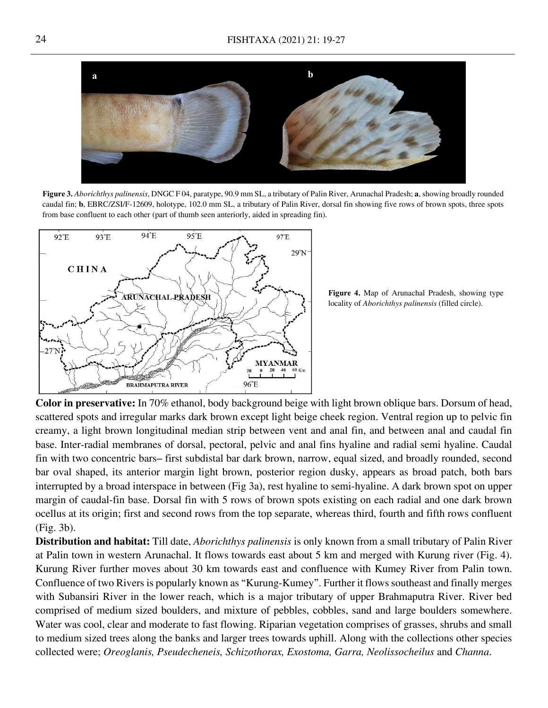

**Figure 3.** *Aborichthys palinensis*, DNGC F 04, paratype, 90.9 mm SL, a tributary of Palin River, Arunachal Pradesh; **a**, showing broadly rounded caudal fin; **b**, EBRC/ZSI/F-12609, holotype, 102.0 mm SL, a tributary of Palin River, dorsal fin showing five rows of brown spots, three spots from base confluent to each other (part of thumb seen anteriorly, aided in spreading fin).



**Figure 4.** Map of Arunachal Pradesh, showing type locality of *Aborichthys palinensis* (filled circle).

**Color in preservative:** In 70% ethanol, body background beige with light brown oblique bars. Dorsum of head, scattered spots and irregular marks dark brown except light beige cheek region. Ventral region up to pelvic fin creamy, a light brown longitudinal median strip between vent and anal fin, and between anal and caudal fin base. Inter-radial membranes of dorsal, pectoral, pelvic and anal fins hyaline and radial semi hyaline. Caudal fin with two concentric bars– first subdistal bar dark brown, narrow, equal sized, and broadly rounded, second bar oval shaped, its anterior margin light brown, posterior region dusky, appears as broad patch, both bars interrupted by a broad interspace in between (Fig 3a), rest hyaline to semi-hyaline. A dark brown spot on upper margin of caudal-fin base. Dorsal fin with 5 rows of brown spots existing on each radial and one dark brown ocellus at its origin; first and second rows from the top separate, whereas third, fourth and fifth rows confluent (Fig. 3b).

**Distribution and habitat:** Till date, *Aborichthys palinensis* is only known from a small tributary of Palin River at Palin town in western Arunachal. It flows towards east about 5 km and merged with Kurung river (Fig. 4). Kurung River further moves about 30 km towards east and confluence with Kumey River from Palin town. Confluence of two Rivers is popularly known as "Kurung-Kumey". Further it flows southeast and finally merges with Subansiri River in the lower reach, which is a major tributary of upper Brahmaputra River. River bed comprised of medium sized boulders, and mixture of pebbles, cobbles, sand and large boulders somewhere. Water was cool, clear and moderate to fast flowing. Riparian vegetation comprises of grasses, shrubs and small to medium sized trees along the banks and larger trees towards uphill. Along with the collections other species collected were; *Oreoglanis, Pseudecheneis, Schizothorax, Exostoma, Garra, Neolissocheilus* and *Channa*.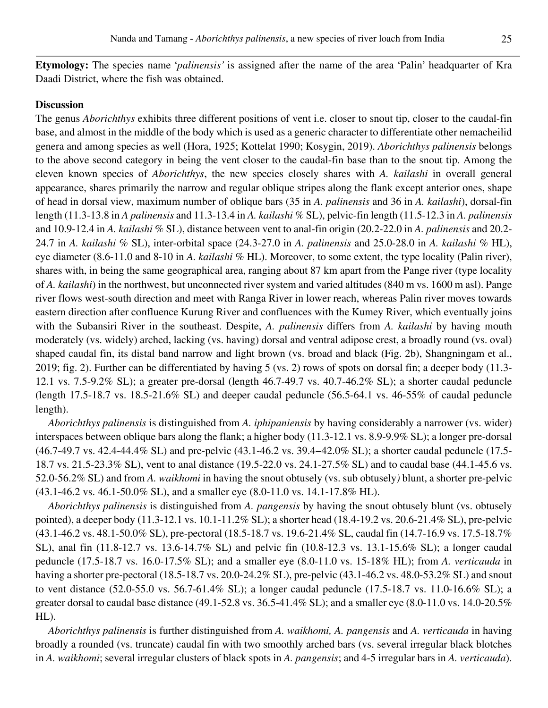**Etymology:** The species name '*palinensis'* is assigned after the name of the area 'Palin' headquarter of Kra Daadi District, where the fish was obtained.

#### **Discussion**

The genus *Aborichthys* exhibits three different positions of vent i.e. closer to snout tip, closer to the caudal-fin base, and almost in the middle of the body which is used as a generic character to differentiate other nemacheilid genera and among species as well (Hora, 1925; Kottelat 1990; Kosygin, 2019). *Aborichthys palinensis* belongs to the above second category in being the vent closer to the caudal-fin base than to the snout tip. Among the eleven known species of *Aborichthys*, the new species closely shares with *A. kailashi* in overall general appearance, shares primarily the narrow and regular oblique stripes along the flank except anterior ones, shape of head in dorsal view, maximum number of oblique bars (35 in *A. palinensis* and 36 in *A. kailashi*), dorsal-fin length (11.3-13.8 in *A palinensis* and 11.3-13.4 in *A. kailashi* % SL), pelvic-fin length (11.5-12.3 in *A. palinensis* and 10.9-12.4 in *A. kailashi* % SL), distance between vent to anal-fin origin (20.2-22.0 in *A. palinensis* and 20.2- 24.7 in *A. kailashi* % SL), inter-orbital space (24.3-27.0 in *A. palinensis* and 25.0-28.0 in *A. kailashi* % HL), eye diameter (8.6-11.0 and 8-10 in *A. kailashi* % HL). Moreover, to some extent, the type locality (Palin river), shares with, in being the same geographical area, ranging about 87 km apart from the Pange river (type locality of *A. kailashi*) in the northwest, but unconnected river system and varied altitudes (840 m vs. 1600 m asl). Pange river flows west-south direction and meet with Ranga River in lower reach, whereas Palin river moves towards eastern direction after confluence Kurung River and confluences with the Kumey River, which eventually joins with the Subansiri River in the southeast. Despite, *A. palinensis* differs from *A. kailashi* by having mouth moderately (vs. widely) arched, lacking (vs. having) dorsal and ventral adipose crest, a broadly round (vs. oval) shaped caudal fin, its distal band narrow and light brown (vs. broad and black (Fig. 2b), Shangningam et al., 2019; fig. 2). Further can be differentiated by having 5 (vs. 2) rows of spots on dorsal fin; a deeper body (11.3- 12.1 vs. 7.5-9.2% SL); a greater pre-dorsal (length 46.7-49.7 vs. 40.7-46.2% SL); a shorter caudal peduncle (length 17.5-18.7 vs. 18.5-21.6% SL) and deeper caudal peduncle (56.5-64.1 vs. 46-55% of caudal peduncle length).

*Aborichthys palinensis* is distinguished from *A. iphipaniensis* by having considerably a narrower (vs. wider) interspaces between oblique bars along the flank; a higher body (11.3-12.1 vs. 8.9-9.9% SL); a longer pre-dorsal (46.7-49.7 vs. 42.4-44.4% SL) and pre-pelvic (43.1-46.2 vs. 39.4−42.0% SL); a shorter caudal peduncle (17.5- 18.7 vs. 21.5-23.3% SL), vent to anal distance (19.5-22.0 vs. 24.1-27.5% SL) and to caudal base (44.1-45.6 vs. 52.0-56.2% SL) and from *A. waikhomi* in having the snout obtusely (vs. sub obtusely*)* blunt, a shorter pre-pelvic (43.1-46.2 vs. 46.1-50.0% SL), and a smaller eye (8.0-11.0 vs. 14.1-17.8% HL).

*Aborichthys palinensis* is distinguished from *A. pangensis* by having the snout obtusely blunt (vs. obtusely pointed), a deeper body (11.3-12.1 vs. 10.1-11.2% SL); a shorter head (18.4-19.2 vs. 20.6-21.4% SL), pre-pelvic (43.1-46.2 vs. 48.1-50.0% SL), pre-pectoral (18.5-18.7 vs. 19.6-21.4% SL, caudal fin (14.7-16.9 vs. 17.5-18.7% SL), anal fin (11.8-12.7 vs. 13.6-14.7% SL) and pelvic fin (10.8-12.3 vs. 13.1-15.6% SL); a longer caudal peduncle (17.5-18.7 vs. 16.0-17.5% SL); and a smaller eye (8.0-11.0 vs. 15-18% HL); from *A. verticauda* in having a shorter pre-pectoral (18.5-18.7 vs. 20.0-24.2% SL), pre-pelvic (43.1-46.2 vs. 48.0-53.2% SL) and snout to vent distance (52.0-55.0 vs. 56.7-61.4% SL); a longer caudal peduncle (17.5-18.7 vs. 11.0-16.6% SL); a greater dorsal to caudal base distance (49.1-52.8 vs. 36.5-41.4% SL); and a smaller eye (8.0-11.0 vs. 14.0-20.5% HL).

*Aborichthys palinensis* is further distinguished from *A. waikhomi, A. pangensis* and *A. verticauda* in having broadly a rounded (vs. truncate) caudal fin with two smoothly arched bars (vs. several irregular black blotches in *A. waikhomi*; several irregular clusters of black spots in *A. pangensis*; and 4-5 irregular bars in *A. verticauda*).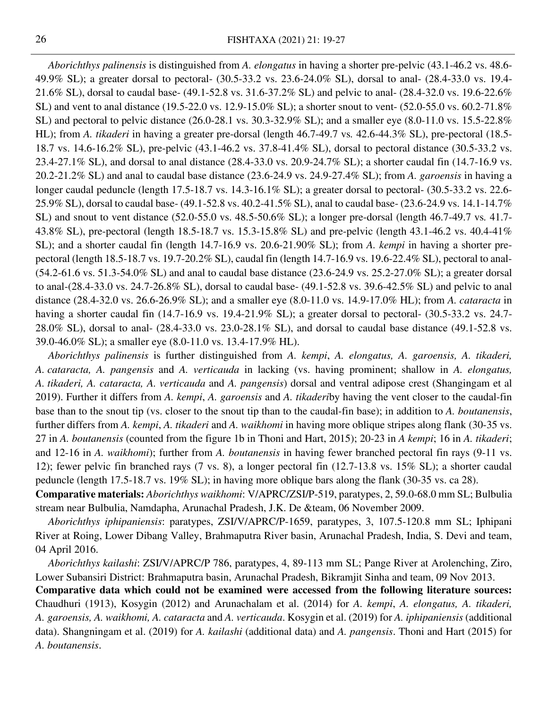*Aborichthys palinensis* is distinguished from *A. elongatus* in having a shorter pre-pelvic (43.1-46.2 vs. 48.6- 49.9% SL); a greater dorsal to pectoral- (30.5-33.2 vs. 23.6-24.0% SL), dorsal to anal- (28.4-33.0 vs. 19.4- 21.6% SL), dorsal to caudal base- (49.1-52.8 vs. 31.6-37.2% SL) and pelvic to anal- (28.4-32.0 vs. 19.6-22.6% SL) and vent to anal distance (19.5-22.0 vs. 12.9-15.0% SL); a shorter snout to vent- (52.0-55.0 vs. 60.2-71.8% SL) and pectoral to pelvic distance (26.0-28.1 vs. 30.3-32.9% SL); and a smaller eye (8.0-11.0 vs. 15.5-22.8% HL); from *A. tikaderi* in having a greater pre-dorsal (length 46.7-49.7 vs*.* 42.6-44.3% SL), pre-pectoral (18.5- 18.7 vs. 14.6-16.2% SL), pre-pelvic (43.1-46.2 vs. 37.8-41.4% SL), dorsal to pectoral distance (30.5-33.2 vs. 23.4-27.1% SL), and dorsal to anal distance (28.4-33.0 vs. 20.9-24.7% SL); a shorter caudal fin (14.7-16.9 vs. 20.2-21.2% SL) and anal to caudal base distance (23.6-24.9 vs. 24.9-27.4% SL); from *A. garoensis* in having a longer caudal peduncle (length 17.5-18.7 vs. 14.3-16.1% SL); a greater dorsal to pectoral- (30.5-33.2 vs. 22.6- 25.9% SL), dorsal to caudal base- (49.1-52.8 vs. 40.2-41.5% SL), anal to caudal base- (23.6-24.9 vs. 14.1-14.7% SL) and snout to vent distance (52.0-55.0 vs. 48.5-50.6% SL); a longer pre-dorsal (length 46.7-49.7 vs*.* 41.7- 43.8% SL), pre-pectoral (length 18.5-18.7 vs. 15.3-15.8% SL) and pre-pelvic (length 43.1-46.2 vs. 40.4-41% SL); and a shorter caudal fin (length 14.7-16.9 vs. 20.6-21.90% SL); from *A. kempi* in having a shorter prepectoral (length 18.5-18.7 vs. 19.7-20.2% SL), caudal fin (length 14.7-16.9 vs. 19.6-22.4% SL), pectoral to anal- (54.2-61.6 vs. 51.3-54.0% SL) and anal to caudal base distance (23.6-24.9 vs. 25.2-27.0% SL); a greater dorsal to anal-(28.4-33.0 vs. 24.7-26.8% SL), dorsal to caudal base- (49.1-52.8 vs. 39.6-42.5% SL) and pelvic to anal distance (28.4-32.0 vs. 26.6-26.9% SL); and a smaller eye (8.0-11.0 vs. 14.9-17.0% HL); from *A. cataracta* in having a shorter caudal fin (14.7-16.9 vs. 19.4-21.9% SL); a greater dorsal to pectoral- (30.5-33.2 vs. 24.7- 28.0% SL), dorsal to anal- (28.4-33.0 vs. 23.0-28.1% SL), and dorsal to caudal base distance (49.1-52.8 vs. 39.0-46.0% SL); a smaller eye (8.0-11.0 vs. 13.4-17.9% HL).

*Aborichthys palinensis* is further distinguished from *A. kempi*, *A. elongatus, A. garoensis, A. tikaderi, A. cataracta, A. pangensis* and *A. verticauda* in lacking (vs. having prominent; shallow in *A. elongatus, A. tikaderi, A. cataracta, A. verticauda* and *A. pangensis*) dorsal and ventral adipose crest (Shangingam et al 2019). Further it differs from *A. kempi*, *A. garoensis* and *A. tikaderi*by having the vent closer to the caudal-fin base than to the snout tip (vs. closer to the snout tip than to the caudal-fin base); in addition to *A. boutanensis*, further differs from *A. kempi*, *A. tikaderi* and *A. waikhomi* in having more oblique stripes along flank (30-35 vs. 27 in *A. boutanensis* (counted from the figure 1b in Thoni and Hart, 2015); 20-23 in *A kempi*; 16 in *A. tikaderi*; and 12-16 in *A. waikhomi*); further from *A. boutanensis* in having fewer branched pectoral fin rays (9-11 vs. 12); fewer pelvic fin branched rays (7 vs. 8), a longer pectoral fin (12.7-13.8 vs. 15% SL); a shorter caudal peduncle (length 17.5-18.7 vs. 19% SL); in having more oblique bars along the flank (30-35 vs. ca 28).

**Comparative materials:** *Aborichthys waikhomi*: V/APRC/ZSI/P-519, paratypes, 2, 59.0-68.0 mm SL; Bulbulia stream near Bulbulia, Namdapha, Arunachal Pradesh, J.K. De &team, 06 November 2009.

*Aborichthys iphipaniensis*: paratypes, ZSI/V/APRC/P-1659, paratypes, 3, 107.5-120.8 mm SL; Iphipani River at Roing, Lower Dibang Valley, Brahmaputra River basin, Arunachal Pradesh, India, S. Devi and team, 04 April 2016.

*Aborichthys kailashi*: ZSI/V/APRC/P 786, paratypes, 4, 89-113 mm SL; Pange River at Arolenching, Ziro, Lower Subansiri District: Brahmaputra basin, Arunachal Pradesh, Bikramjit Sinha and team, 09 Nov 2013.

**Comparative data which could not be examined were accessed from the following literature sources:**  Chaudhuri (1913), Kosygin (2012) and Arunachalam et al. (2014) for *A. kempi*, *A. elongatus, A. tikaderi, A. garoensis, A. waikhomi, A. cataracta* and *A. verticauda*. Kosygin et al. (2019) for *A. iphipaniensis* (additional data). Shangningam et al. (2019) for *A. kailashi* (additional data) and *A. pangensis*. Thoni and Hart (2015) for *A. boutanensis*.